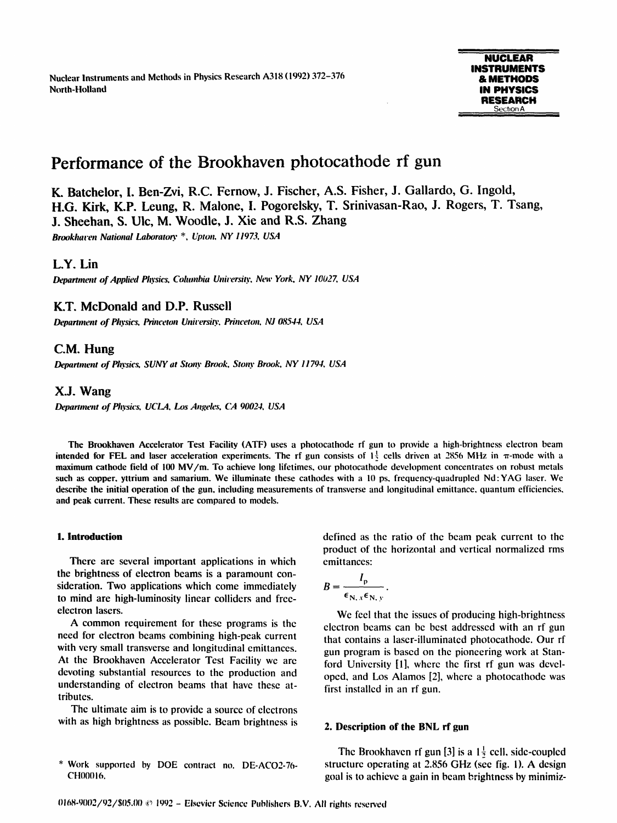North-Holland **IN PHYSICS** Nuclear Instruments and Methods in Physics Research A318 (1992) 372-376

# Performance of the Brookhaven photocathode rf gun

K. Batchelor, I. Ben-Zvi, R.C. Fernow, J. Fischer, A.S. Fisher, J. Gallardo, G. Ingold, H.G. Kirk, K.P. Leung, R. Malone, I. Pogorelsky, T. Srinivasan-Rao, J. Rogers, T. Tsang, J. Sheehan, S. Ulc, M. Woodle, J. Xie and R.S. Zhang

Brookhaven National Laboratory \*, Upton, NY 11973, USA

# L.Y. Lin

Department of Applied Physics, Columbia University, New York, NY 10027, USA

# K.T. McDonald and D.P. Russell

Department of Physics, Princeton University, Princeton, NJ 08544, USA

# C.M. Hung

Department of Physics, SUNY at Stony Brook, Stony Brook, NY 11794, USA

## X.J. Wang

Department of Physics, UCLA, Los Angeles, CA 90024, USA

The Brookhaven Accelerator Test Facility (ATF) uses a photocathode rf gun to provide a high-brightness electron beam intended for FEL and laser acceleration experiments. The rf gun consists of  $1\frac{1}{2}$  cells driven at 2856 MHz in  $\pi$ -mode with a maximum cathode field of <sup>100</sup> MV/m. To achieve long lifetimes, our photocathode development concentrates on robust metals such as copper, yttrium and samarium. We illuminate these cathodes with a 10 ps, frequency-quadrupled Nd: YAG laser. We describe the initial operation of the gun, including measurements of transverse and longitudinal emittance, quantum efficiencies, and peak current. These results are compared to models.

There are several important applications in which the brightness of electron beams is a paramount consideration. Two applications which come immediately to mind are high-luminosity linear colliders and freeelectron lasers.

A common requirement for these programs is the need for electron beams combining high-peak current with very small transverse and longitudinal emittances. At the Brookhaven Accelerator Test Facility we are devoting substantial resources to the production and understanding of electron beams that have these attributes.

The ultimate aim is to provide a source of electrons with as high brightness as possible. Beam brightness is

**1. Introduction 1. Introduction** defined as the ratio of the beam peak current to the product of the horizontal and vertical normalized rms

$$
B=\frac{I_{\rm p}}{\epsilon_{\rm N,\,x}\epsilon_{\rm N,\,y}}.
$$

We feel that the issues of producing high-brightness electron beams can be best addressed with an rf gun that contains a laser-illuminated photocathode. Our rf gun program is based on the pioneering work at Stanford University [11, where the first rf gun was developed, and Los Alamos [21, where a photocathode was first installed in an rf gun.

#### 2. Description of the BNL rf gun

The Brookhaven rf gun [3] is a  $1\frac{1}{2}$  cell, side-coupled structure operating at 2.856 GHz (see fig. 1). A design goal is to achieve a gain in beam brightness by minimiz-

<sup>\*</sup> Work supported by DOE contract no. DE-AC02-76- CH00016.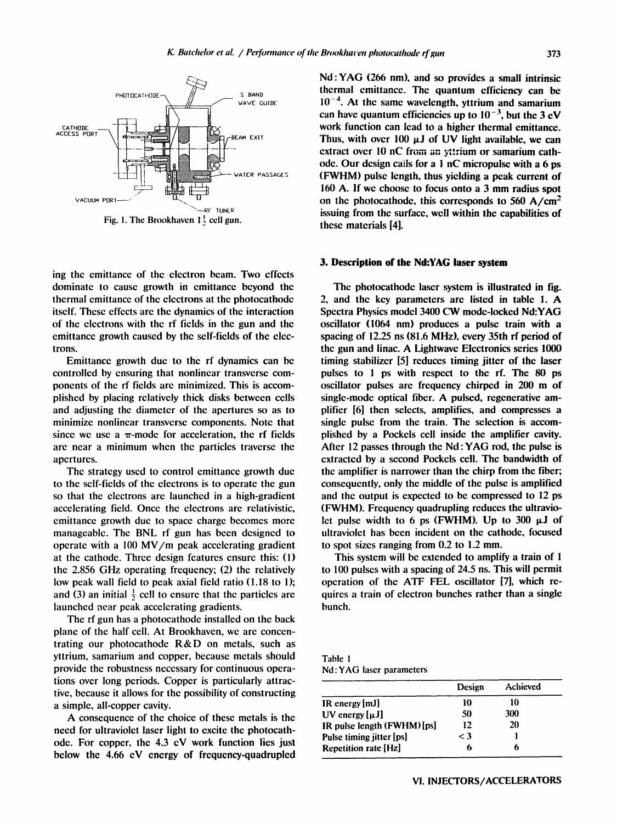

ing the emittance of the electron beam. Two effects dominate to cause growth in emittance beyond the thermal emittance of the electrons at the photocathode itself. These effects are the dynamics of the interaction of the electrons with the rf fields in the gun and the emittance growth caused by the self-fields of the electrons.

Emittance growth due to the rf dynamics can be controlled by ensuring that nonlinear transverse components of the rf fields are minimized. This is accomplished by placing relatively thick disks between cells and adjusting the diameter of the apertures so as to minimize nonlinear transverse components. Note that since we use a  $\pi$ -mode for acceleration, the rf fields are near a minimum when the particles traverse the apertures.

The strategy used to control emittance growth due to the self-fields of the electrons is to operate the gun so that the electrons are launched in a high-gradient accelerating field. Once the electrons are relativistic, emittance growth due to space charge becomes more manageable. The BNL rf gun has been designed to operate with <sup>a</sup> <sup>100</sup> MV/m peak accelerating gradient at the cathode. Three design features ensure this: (1) the 2.856 GHz operating frequency; (2) the relatively low peak wall field to peak axial field ratio (1.18 to 1); and (3) an initial  $\frac{1}{2}$  cell to ensure that the particles are launched near peak accelerating gradients.

The rf gun has a photocathode installed on the back plane of the half cell. At Brookhaven, we are concentrating our photocathode R&D on metals, such as yttrium, samarium and copper, because metals should provide the robustness necessary for continuous operations over long periods. Copper is particularly attractive, because it allows for the possibility of constructing a simple, all-copper cavity.

A consequence of the choice of these metals is the need for ultraviolet laser light to excite the photocathode. For copper, the 4.3 eV work function lies just below the 4.66 eV energy of frequency-quadrupled Nd : YAG (266 nm), and so provides <sup>a</sup> small intrinsic thermal emittance. The quantum efficiency can be  $10^{-4}$ . At the same wavelength, yttrium and samarium can have quantum efficiencies up to  $10^{-3}$ , but the 3 eV work function can lead to a higher thermal emittance. Thus, with over 100  $\mu$ J of UV light available, we can extract over 10 nC from an yttrium or samarium cathode. Our design calls for a <sup>1</sup> nC micropulse with <sup>a</sup> 6 ps (FWHM) pulse length, thus yielding <sup>a</sup> peak current of <sup>160</sup> A. If we choose to focus onto <sup>a</sup> <sup>3</sup> mm radius spot on the photocathode, this corresponds to 560  $A/cm<sup>2</sup>$ issuing from the surface, well within the capabilities of these materials [4].

#### 3. Description of the Nd:YAG laser system

The photocathode laser system is illustrated in fig. 2, and the key parameters are listed in table 1. A Spectra Physics model <sup>3400</sup> CW mode-locked Nd:YAG oscillator (1064 nm) produces a pulse train with a spacing of 12.25 ns (81.6 MHz), every 35th rf period of the gun and linac. A Lightwave Electronics series <sup>1000</sup> timing stabilizer [5] reduces timing jitter of the laser pulses to <sup>1</sup> ps with respect to the rf. The 80 ps oscillator pulses are frequency chirped in <sup>200</sup> m of single-mode optical fiber. A pulsed, regenerative amplifier [6] then selects, amplifies, and compresses a single pulse from the train. The selection is accomplished by a Pockels cell inside the amplifier cavity. After <sup>12</sup> passes through the Nd : YAG rod, the pulse is extracted by a second Pockels cell. The bandwidth of the amplifier is narrower than the chirp from the fiber; consequently, only the middle of the pulse is amplified and the output is expected to be compressed to 12 ps (FWHM). Frequency quadrupling reduces the ultraviolet pulse width to 6 ps (FWHM). Up to 300  $\mu$ J of ultraviolet has been incident on the cathode, focused to spot sizes ranging from 0.2 to 1.2 mm.

This system will be extended to amplify a train of <sup>1</sup> to 100 pulses with a spacing of 24.5 ns. This will permit operation of the ATF FEL oscillator [7], which requires a train of electron bunches rather than a single bunch.

Table <sup>I</sup> Nd : YAG laser parameters

|                             | Design   | Achieved |
|-----------------------------|----------|----------|
| $IR$ energy $[mJ]$          | 10       | 10       |
| UV energy $[\mu J]$         | 50       | 300      |
| IR pulse length (FWHM) [ps] | 12       | 20       |
| Pulse timing jitter [ps]    | $\leq 3$ |          |
| <b>Repetition rate [Hz]</b> | 6        |          |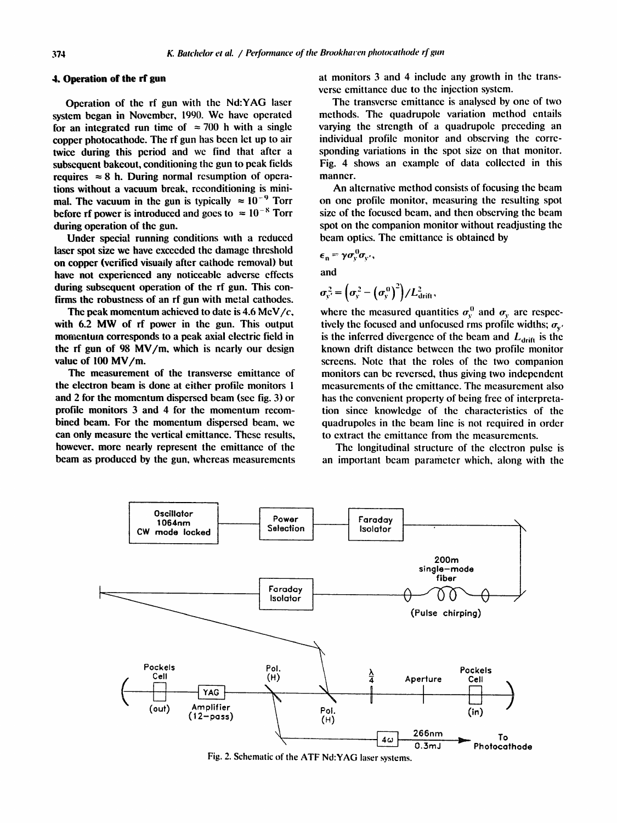### 4. Operation of the rf gun

Operation of the rf gun with the Nd:YAG laser system began in November, 1990. We have operated for an integrated run time of  $\approx 700$  h with a single copper photocathode. The rf gun has been let up to air twice during this period and we find that after a subsequent bakeout, conditioning the gun to peak fields requires  $\approx 8$  h. During normal resumption of operations without a vacuum break, reconditioning is minimal. The vacuum in the gun is typically  $\approx 10^{-9}$  Torr before rf power is introduced and goes to  $\approx 10^{-8}$  Torr during operation of the gun.

Under special running conditions with a reduced laser spot size we have exceeded the damage threshold on copper (verified visually after cathode removal) but have not experienced any noticeable adverse effects during subsequent operation of the rf gun. This confirms the robustness of an rf gun with metal cathodes.

The peak momentum achieved to date is 4.6 MeV/ $c$ , with 6.2 MW of rf power in the gun. This output momentum corresponds to a peak axial electric field in the rf gun of 98 MV/m, which is nearly our design value of <sup>100</sup> MV/m.

The measurement of the transverse emittance of the electron beam is done at either profile monitors <sup>1</sup> and 2 for the momentum dispersed beam (see fig. 3) or profile monitors 3 and 4 for the momentum recombined beam. For the momentum dispersed beam, we can only measure the vertical emittance. These results, however, more nearly represent the emittance of the beam as produced by the gun, whereas measurements at monitors 3 and 4 include any growth in the transverse emittance due to the injection system .

The transverse emittance is analysed by one of two methods. The quadrupole variation method entails varying the strength of a quadrupole preceding an individual profile monitor and observing the corresponding variations in the spot size on that monitor. Fig. 4 shows an example of data collected in this manner.

An alternative method consists of focusing the beam on one profile monitor, measuring the resulting spot size of the focused beam, and then observing the beam spot on the companion monitor without readjusting the beam optics. The emittance is obtained by

$$
\epsilon_{n} = \gamma \sigma_{y}^{0} \sigma_{y'},
$$
  
and

$$
\sigma_{y'}^2 = \left(\sigma_y^2 - \left(\sigma_y^0\right)^2\right) / L_{\text{drift}}^2,
$$

where the measured quantities  $\sigma_v^0$  and  $\sigma_v$  are respectively the focused and unfocused rms profile widths;  $\sigma_{v'}$ is the inferred divergence of the beam and  $L_{drift}$  is the known drift distance between the two profile monitor screens. Note that the roles of the two companion monitors can be reversed, thus giving two independent measurements of the emittance. The measurement also has the convenient property of being free of interpretation since knowledge of the characteristics of the quadrupoles in the beam line is not required in order to extract the emittance from the measurements.

The longitudinal structure of the electron pulse is an important beam parameter which, along with the



Fig. 2. Schematic of the ATF Nd:YAG laser systems.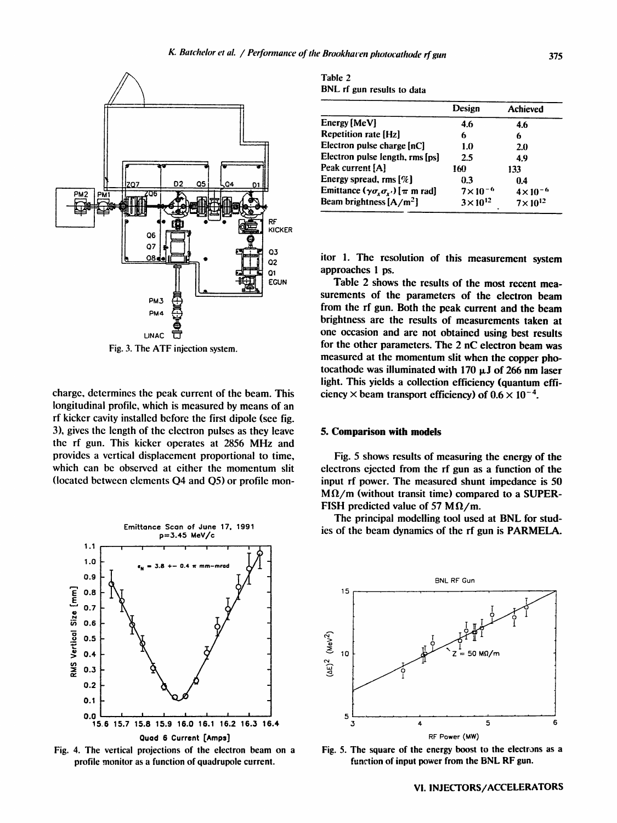

Fig. 3. The ATF injection system .

charge, determines the peak current of the beam. This longitudinal profile, which is measured by means of an rf kicker cavity installed before the first dipole (see fig. 3), gives the length of the electron pulses as they leave the rf gun. This kicker operates at <sup>2856</sup> MHz and provides a vertical displacement proportional to time, which can be observed at either the momentum slit (located between elements 04 and Q5) or profile mon-



Fig. 4. The vertical projections of the electron beam on a profile monitor as a function of quadrupole current.

Table 2 BNL rf gun results to data

|                                                            | Design             | <b>Achieved</b>    |
|------------------------------------------------------------|--------------------|--------------------|
| Energy [MeV]                                               | 4.6                | 4.6                |
| Repetition rate [Hz]                                       | 6                  | 6                  |
| Electron pulse charge [nC]                                 | 1.0                | 2.0                |
| Electron pulse length, rms [ps]                            | 2.5                | 4.9                |
| Peak current [A]                                           | 160                | 133                |
| Energy spread, rms $[\%]$                                  | 0.3                | 0.4                |
| Emittance $(\gamma \sigma_{x} \sigma_{x'})$ [ $\pi$ m rad] | $7 \times 10^{-6}$ | $4 \times 10^{-6}$ |
| Beam brightness $[A/m^2]$                                  | $3 \times 10^{12}$ | $7\times10^{12}$   |

itor 1. The resolution of this measurement system approaches <sup>1</sup> ps.

Table 2 shows the results of the most recent measurements of the parameters of the electron beam from the rf gun. Both the peak current and the beam brightness are the results of measurements taken at one occasion and are not obtained using best results for the other parameters. The 2 nC electron beam was measured at the momentum slit when the copper photocathode was illuminated with 170  $\mu$ J of 266 nm laser light. This yields a collection efficiency (quantum efficiency  $\times$  beam transport efficiency) of  $0.6 \times 10^{-4}$ .

#### 5. Comparison with models

Fig. 5 shows results of measuring the energy of the electrons ejected from the rf gun as a function of the input rf power. The measured shunt impedance is 50  $M\Omega/m$  (without transit time) compared to a SUPER-<br>FISH predicted value of 57 M $\Omega/m$ . electrons ejected from the rf gun as<br>input rf power. The measured shunt<br> $M\Omega/m$  (without transit time) compa<br>FISH predicted value of 57 M $\Omega/m$ .<br>The principal modelling tool used<br>ies of the beam dynamics of the rf gu

The principal modelling tool used at BNL for studies of the beam dynamics of the rf gun is PARMELA.



Fig. 5. The square of the energy boost to the electrons as a function of input power from the BNL RF gun.